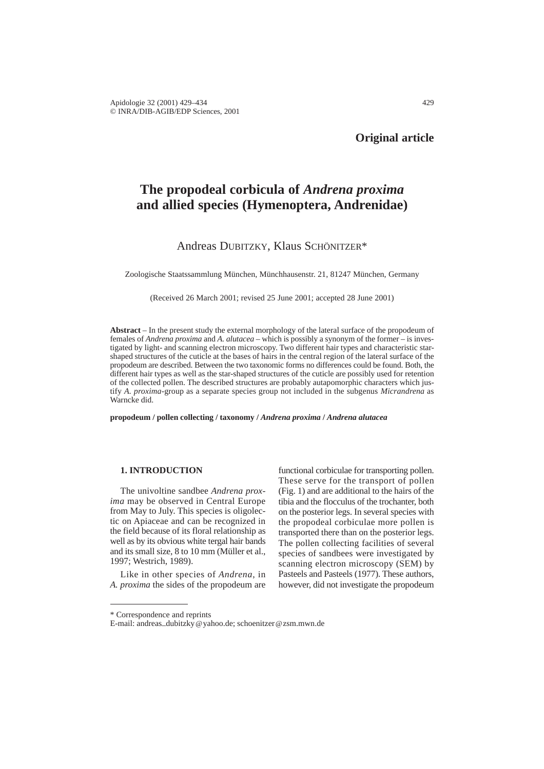# **Original article**

# **The propodeal corbicula of** *Andrena proxima* **and allied species (Hymenoptera, Andrenidae)**

# Andreas DUBITZKY, Klaus SCHÖNITZER\*

Zoologische Staatssammlung München, Münchhausenstr. 21, 81247 München, Germany

(Received 26 March 2001; revised 25 June 2001; accepted 28 June 2001)

**Abstract** – In the present study the external morphology of the lateral surface of the propodeum of females of *Andrena proxima* and *A. alutacea* – which is possibly a synonym of the former – is investigated by light- and scanning electron microscopy. Two different hair types and characteristic starshaped structures of the cuticle at the bases of hairs in the central region of the lateral surface of the propodeum are described. Between the two taxonomic forms no differences could be found. Both, the different hair types as well as the star-shaped structures of the cuticle are possibly used for retention of the collected pollen. The described structures are probably autapomorphic characters which justify *A. proxima*-group as a separate species group not included in the subgenus *Micrandrena* as Warncke did.

**propodeum / pollen collecting / taxonomy /** *Andrena proxima* **/** *Andrena alutacea*

### **1. INTRODUCTION**

The univoltine sandbee *Andrena proxima* may be observed in Central Europe from May to July. This species is oligolectic on Apiaceae and can be recognized in the field because of its floral relationship as well as by its obvious white tergal hair bands and its small size, 8 to 10 mm (Müller et al., 1997; Westrich, 1989).

Like in other species of *Andrena*, in *A. proxima* the sides of the propodeum are functional corbiculae for transporting pollen. These serve for the transport of pollen (Fig. 1) and are additional to the hairs of the tibia and the flocculus of the trochanter, both on the posterior legs. In several species with the propodeal corbiculae more pollen is transported there than on the posterior legs. The pollen collecting facilities of several species of sandbees were investigated by scanning electron microscopy (SEM) by Pasteels and Pasteels (1977). These authors, however, did not investigate the propodeum

<sup>\*</sup> Correspondence and reprints

E-mail: andreas\_dubitzky@yahoo.de; schoenitzer@zsm.mwn.de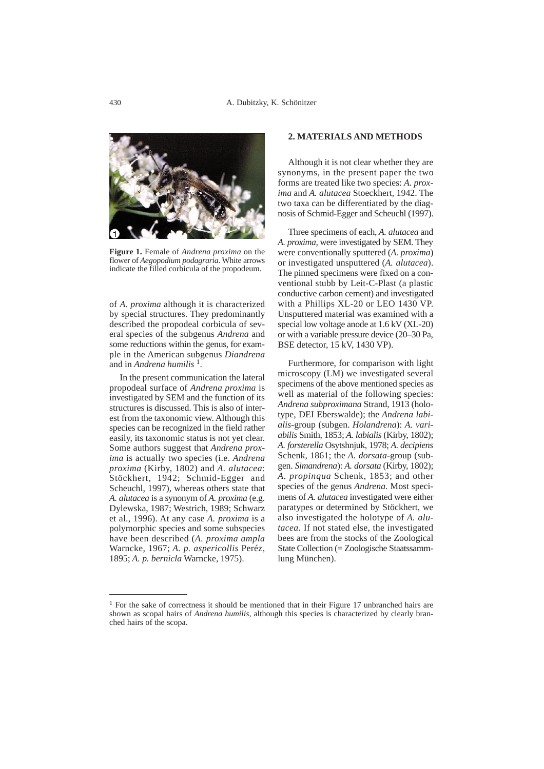

**Figure 1.** Female of *Andrena proxima* on the flower of *Aegopodium podagraria*. White arrows indicate the filled corbicula of the propodeum.

of *A. proxima* although it is characterized by special structures. They predominantly described the propodeal corbicula of several species of the subgenus *Andrena* and some reductions within the genus, for example in the American subgenus *Diandrena* and in *Andrena humilis* 1.

In the present communication the lateral propodeal surface of *Andrena proxima* is investigated by SEM and the function of its structures is discussed. This is also of interest from the taxonomic view. Although this species can be recognized in the field rather easily, its taxonomic status is not yet clear. Some authors suggest that *Andrena proxima* is actually two species (i.e. *Andrena proxima* (Kirby, 1802) and *A. alutacea*: Stöckhert, 1942; Schmid-Egger and Scheuchl, 1997), whereas others state that *A. alutacea* is a synonym of *A. proxima* (e.g. Dylewska, 1987; Westrich, 1989; Schwarz et al., 1996). At any case *A. proxima* is a polymorphic species and some subspecies have been described (*A. proxima ampla* Warncke, 1967; *A. p. aspericollis* Peréz, 1895; *A. p. bernicla* Warncke, 1975).

## **2. MATERIALS AND METHODS**

Although it is not clear whether they are synonyms, in the present paper the two forms are treated like two species: *A. proxima* and *A. alutacea* Stoeckhert, 1942. The two taxa can be differentiated by the diagnosis of Schmid-Egger and Scheuchl (1997).

Three specimens of each, *A. alutacea* and *A. proxima,* were investigated by SEM. They were conventionally sputtered (*A. proxima*) or investigated unsputtered (*A. alutacea*). The pinned specimens were fixed on a conventional stubb by Leit-C-Plast (a plastic conductive carbon cement) and investigated with a Phillips XL-20 or LEO 1430 VP. Unsputtered material was examined with a special low voltage anode at 1.6 kV (XL-20) or with a variable pressure device (20–30 Pa, BSE detector, 15 kV, 1430 VP).

Furthermore, for comparison with light microscopy (LM) we investigated several specimens of the above mentioned species as well as material of the following species: *Andrena subproximana* Strand, 1913 (holotype, DEI Eberswalde); the *Andrena labialis*-group (subgen. *Holandrena*): *A. variabilis* Smith, 1853; *A. labialis* (Kirby, 1802); *A. forsterella* Osytshnjuk, 1978; *A. decipiens* Schenk, 1861; the *A. dorsata*-group (subgen. *Simandrena*): *A. dorsata* (Kirby, 1802); *A. propinqua* Schenk, 1853; and other species of the genus *Andrena*. Most specimens of *A. alutacea* investigated were either paratypes or determined by Stöckhert, we also investigated the holotype of *A. alutacea*. If not stated else, the investigated bees are from the stocks of the Zoological State Collection (= Zoologische Staatssammlung München).

<sup>&</sup>lt;sup>1</sup> For the sake of correctness it should be mentioned that in their Figure 17 unbranched hairs are shown as scopal hairs of *Andrena humilis*, although this species is characterized by clearly branched hairs of the scopa.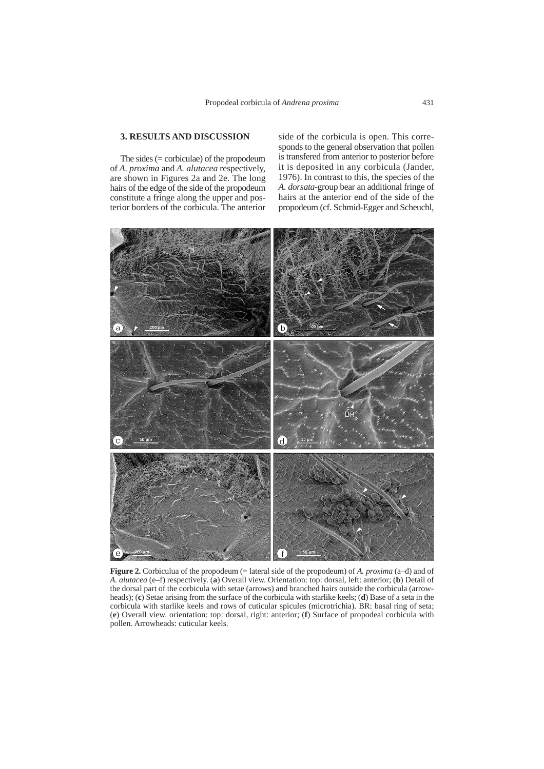## **3. RESULTS AND DISCUSSION**

The sides  $(= corbiculae)$  of the propodeum of *A. proxima* and *A. alutacea* respectively, are shown in Figures 2a and 2e. The long hairs of the edge of the side of the propodeum constitute a fringe along the upper and posterior borders of the corbicula. The anterior

side of the corbicula is open. This corresponds to the general observation that pollen is transfered from anterior to posterior before it is deposited in any corbicula (Jander, 1976). In contrast to this, the species of the *A. dorsata*-group bear an additional fringe of hairs at the anterior end of the side of the propodeum (cf. Schmid-Egger and Scheuchl,



**Figure 2.** Corbiculua of the propodeum (= lateral side of the propodeum) of *A. proxima* (a–d) and of *A. alutacea* (e–f) respectively. (**a**) Overall view. Orientation: top: dorsal, left: anterior; (**b**) Detail of the dorsal part of the corbicula with setae (arrows) and branched hairs outside the corbicula (arrowheads); (**c**) Setae arising from the surface of the corbicula with starlike keels; (**d**) Base of a seta in the corbicula with starlike keels and rows of cuticular spicules (microtrichia). BR: basal ring of seta; (**e**) Overall view. orientation: top: dorsal, right: anterior; (**f**) Surface of propodeal corbicula with pollen. Arrowheads: cuticular keels.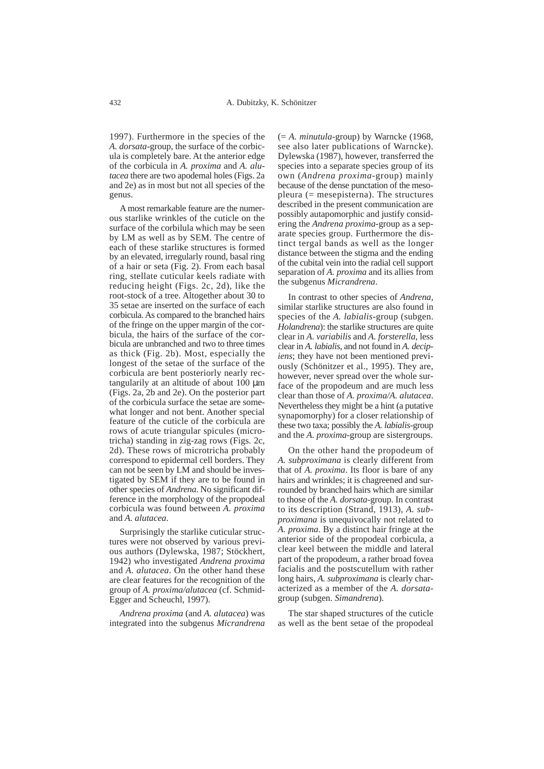1997). Furthermore in the species of the *A. dorsata*-group, the surface of the corbicula is completely bare. At the anterior edge of the corbicula in *A. proxima* and *A. alutacea* there are two apodemal holes (Figs. 2a and 2e) as in most but not all species of the genus.

A most remarkable feature are the numerous starlike wrinkles of the cuticle on the surface of the corbilula which may be seen by LM as well as by SEM. The centre of each of these starlike structures is formed by an elevated, irregularly round, basal ring of a hair or seta (Fig. 2). From each basal ring, stellate cuticular keels radiate with reducing height (Figs. 2c, 2d), like the root-stock of a tree. Altogether about 30 to 35 setae are inserted on the surface of each corbicula. As compared to the branched hairs of the fringe on the upper margin of the corbicula, the hairs of the surface of the corbicula are unbranched and two to three times as thick (Fig. 2b). Most, especially the longest of the setae of the surface of the corbicula are bent posteriorly nearly rectangularily at an altitude of about 100 µm (Figs. 2a, 2b and 2e). On the posterior part of the corbicula surface the setae are somewhat longer and not bent. Another special feature of the cuticle of the corbicula are rows of acute triangular spicules (microtricha) standing in zig-zag rows (Figs. 2c, 2d). These rows of microtricha probably correspond to epidermal cell borders. They can not be seen by LM and should be investigated by SEM if they are to be found in other species of *Andrena*. No significant difference in the morphology of the propodeal corbicula was found between *A. proxima* and *A. alutacea*.

Surprisingly the starlike cuticular structures were not observed by various previous authors (Dylewska, 1987; Stöckhert, 1942) who investigated *Andrena proxima* and *A. alutacea*. On the other hand these are clear features for the recognition of the group of *A. proxima/alutacea* (cf. Schmid-Egger and Scheuchl, 1997).

*Andrena proxima* (and *A. alutacea*) was integrated into the subgenus *Micrandrena* (= *A. minutula*-group) by Warncke (1968, see also later publications of Warncke). Dylewska (1987), however, transferred the species into a separate species group of its own (*Andrena proxima*-group) mainly because of the dense punctation of the mesopleura (= mesepisterna). The structures described in the present communication are possibly autapomorphic and justify considering the *Andrena proxima*-group as a separate species group. Furthermore the distinct tergal bands as well as the longer distance between the stigma and the ending of the cubital vein into the radial cell support separation of *A. proxima* and its allies from the subgenus *Micrandrena*.

In contrast to other species of *Andrena,* similar starlike structures are also found in species of the *A. labialis*-group (subgen. *Holandrena*): the starlike structures are quite clear in *A. variabilis* and *A. forsterella*, less clear in *A. labialis*, and not found in *A. decipiens*; they have not been mentioned previously (Schönitzer et al., 1995). They are, however, never spread over the whole surface of the propodeum and are much less clear than those of *A. proxima/A. alutacea*. Nevertheless they might be a hint (a putative synapomorphy) for a closer relationship of these two taxa; possibly the *A. labialis*-group and the *A. proxima*-group are sistergroups.

On the other hand the propodeum of *A. subproximana* is clearly different from that of *A. proxima*. Its floor is bare of any hairs and wrinkles; it is chagreened and surrounded by branched hairs which are similar to those of the *A. dorsata*-group. In contrast to its description (Strand, 1913), *A. subproximana* is unequivocally not related to *A. proxima*. By a distinct hair fringe at the anterior side of the propodeal corbicula, a clear keel between the middle and lateral part of the propodeum, a rather broad fovea facialis and the postscutellum with rather long hairs, *A. subproximana* is clearly characterized as a member of the *A. dorsata*group (subgen. *Simandrena*).

The star shaped structures of the cuticle as well as the bent setae of the propodeal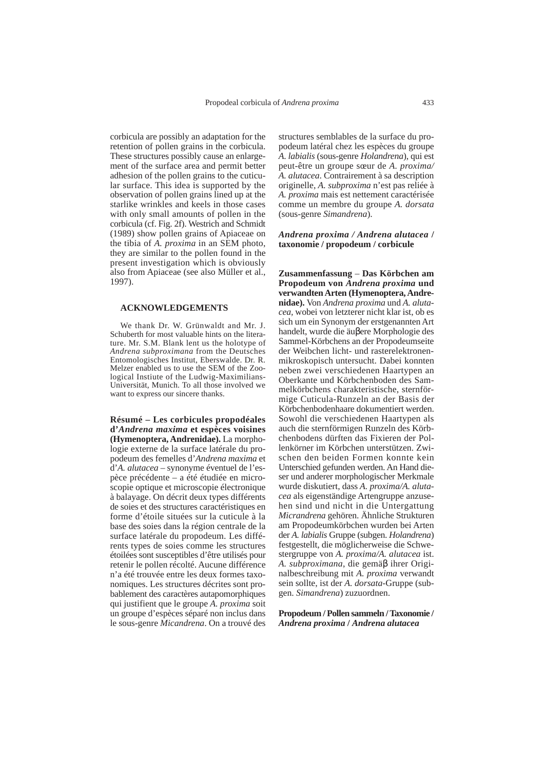corbicula are possibly an adaptation for the retention of pollen grains in the corbicula. These structures possibly cause an enlargement of the surface area and permit better adhesion of the pollen grains to the cuticular surface. This idea is supported by the observation of pollen grains lined up at the starlike wrinkles and keels in those cases with only small amounts of pollen in the corbicula (cf. Fig. 2f). Westrich and Schmidt (1989) show pollen grains of Apiaceae on the tibia of *A. proxima* in an SEM photo, they are similar to the pollen found in the present investigation which is obviously also from Apiaceae (see also Müller et al., 1997).

#### **ACKNOWLEDGEMENTS**

We thank Dr. W. Grünwaldt and Mr. J. Schuberth for most valuable hints on the literature. Mr. S.M. Blank lent us the holotype of *Andrena subproximana* from the Deutsches Entomologisches Institut, Eberswalde. Dr. R. Melzer enabled us to use the SEM of the Zoological Instiute of the Ludwig-Maximilians-Universität, Munich. To all those involved we want to express our sincere thanks.

**Résumé – Les corbicules propodéales d'***Andrena maxima* **et espèces voisines (Hymenoptera, Andrenidae).** La morphologie externe de la surface latérale du propodeum des femelles d'*Andrena maxima* et d'*A. alutacea* – synonyme éventuel de l'espèce précédente – a été étudiée en microscopie optique et microscopie électronique à balayage. On décrit deux types différents de soies et des structures caractéristiques en forme d'étoile situées sur la cuticule à la base des soies dans la région centrale de la surface latérale du propodeum. Les différents types de soies comme les structures étoilées sont susceptibles d'être utilisés pour retenir le pollen récolté. Aucune différence n'a été trouvée entre les deux formes taxonomiques. Les structures décrites sont probablement des caractères autapomorphiques qui justifient que le groupe *A. proxima* soit un groupe d'espèces séparé non inclus dans le sous-genre *Micandrena*. On a trouvé des structures semblables de la surface du propodeum latéral chez les espèces du groupe *A*. *labialis* (sous-genre *Holandrena*), qui est peut-être un groupe sœur de *A. proxima/ A. alutacea*. Contrairement à sa description originelle, *A. subproxima* n'est pas reliée à *A. proxima* mais est nettement caractérisée comme un membre du groupe *A. dorsata* (sous-genre *Simandrena*).

#### *Andrena proxima / Andrena alutacea* **/ taxonomie / propodeum / corbicule**

**Zusammenfassung** – **Das Körbchen am Propodeum von** *Andrena proxima* **und verwandten Arten (Hymenoptera, Andrenidae).** Von *Andrena proxima* und *A. alutacea,* wobei von letzterer nicht klar ist, ob es sich um ein Synonym der erstgenannten Art handelt, wurde die äuβere Morphologie des Sammel-Körbchens an der Propodeumseite der Weibchen licht- und rasterelektronenmikroskopisch untersucht. Dabei konnten neben zwei verschiedenen Haartypen an Oberkante und Körbchenboden des Sammelkörbchens charakteristische, sternförmige Cuticula-Runzeln an der Basis der Körbchenbodenhaare dokumentiert werden. Sowohl die verschiedenen Haartypen als auch die sternförmigen Runzeln des Körbchenbodens dürften das Fixieren der Pollenkörner im Körbchen unterstützen. Zwischen den beiden Formen konnte kein Unterschied gefunden werden. An Hand dieser und anderer morphologischer Merkmale wurde diskutiert, dass *A. proxima/A. alutacea* als eigenständige Artengruppe anzusehen sind und nicht in die Untergattung *Micrandrena* gehören. Ähnliche Strukturen am Propodeumkörbchen wurden bei Arten der *A. labialis* Gruppe (subgen. *Holandrena*) festgestellt, die möglicherweise die Schwestergruppe von *A. proxima/A. alutacea* ist. *A. subproximana*, die gemäβ ihrer Originalbeschreibung mit *A. proxima* verwandt sein sollte, ist der *A. dorsata*-Gruppe (subgen. *Simandrena*) zuzuordnen.

**Propodeum / Pollen sammeln / Taxonomie /** *Andrena proxima* **/** *Andrena alutacea*